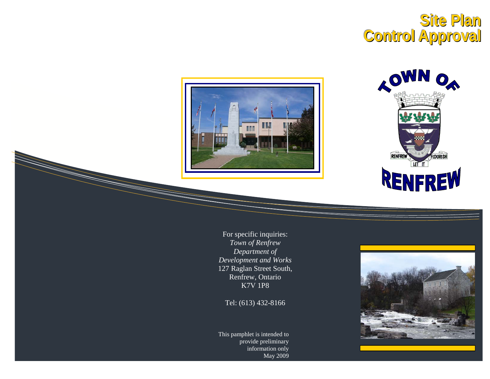# **Site Plan Control Approval**





For specific inquiries: Town of Renfrew Department of Development and Works 127 Raglan Street South, Renfrew, Ontario **K7V 1P8** 

Tel: (613) 432-8166

This pamphlet is intended to provide preliminary information only May 2009